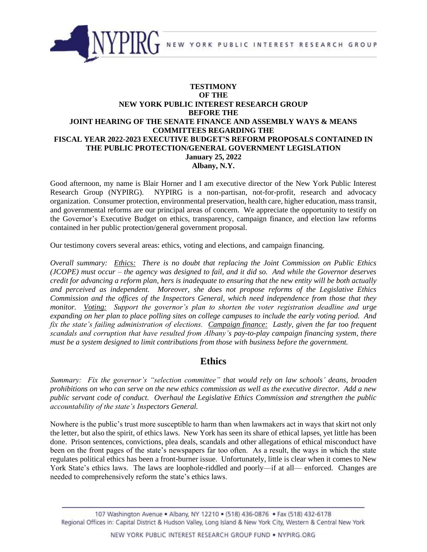

## **TESTIMONY OF THE NEW YORK PUBLIC INTEREST RESEARCH GROUP BEFORE THE JOINT HEARING OF THE SENATE FINANCE AND ASSEMBLY WAYS & MEANS COMMITTEES REGARDING THE FISCAL YEAR 2022-2023 EXECUTIVE BUDGET'S REFORM PROPOSALS CONTAINED IN THE PUBLIC PROTECTION/GENERAL GOVERNMENT LEGISLATION January 25, 2022 Albany, N.Y.**

Good afternoon, my name is Blair Horner and I am executive director of the New York Public Interest Research Group (NYPIRG). NYPIRG is a non-partisan, not-for-profit, research and advocacy organization. Consumer protection, environmental preservation, health care, higher education, mass transit, and governmental reforms are our principal areas of concern. We appreciate the opportunity to testify on the Governor's Executive Budget on ethics, transparency, campaign finance, and election law reforms contained in her public protection/general government proposal.

Our testimony covers several areas: ethics, voting and elections, and campaign financing.

*Overall summary: Ethics: There is no doubt that replacing the Joint Commission on Public Ethics (JCOPE) must occur – the agency was designed to fail, and it did so. And while the Governor deserves credit for advancing a reform plan, hers is inadequate to ensuring that the new entity will be both actually and perceived as independent. Moreover, she does not propose reforms of the Legislative Ethics Commission and the offices of the Inspectors General, which need independence from those that they monitor. Voting: Support the governor's plan to shorten the voter registration deadline and urge expanding on her plan to place polling sites on college campuses to include the early voting period. And fix the state's failing administration of elections. Campaign finance: Lastly, given the far too frequent scandals and corruption that have resulted from Albany's pay-to-play campaign financing system, there must be a system designed to limit contributions from those with business before the government.*

# **Ethics**

*Summary: Fix the governor's "selection committee" that would rely on law schools' deans, broaden prohibitions on who can serve on the new ethics commission as well as the executive director. Add a new public servant code of conduct. Overhaul the Legislative Ethics Commission and strengthen the public accountability of the state's Inspectors General.*

Nowhere is the public's trust more susceptible to harm than when lawmakers act in ways that skirt not only the letter, but also the spirit, of ethics laws. New York has seen its share of ethical lapses, yet little has been done. Prison sentences, convictions, plea deals, scandals and other allegations of ethical misconduct have been on the front pages of the state's newspapers far too often. As a result, the ways in which the state regulates political ethics has been a front-burner issue. Unfortunately, little is clear when it comes to New York State's ethics laws. The laws are loophole-riddled and poorly—if at all— enforced. Changes are needed to comprehensively reform the state's ethics laws.

<sup>107</sup> Washington Avenue . Albany, NY 12210 . (518) 436-0876 . Fax (518) 432-6178 Regional Offices in: Capital District & Hudson Valley, Long Island & New York City, Western & Central New York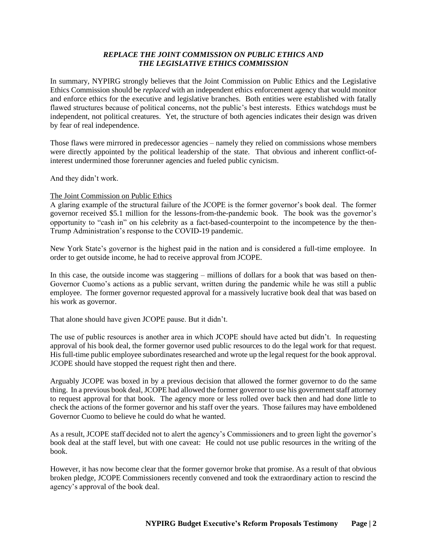## *REPLACE THE JOINT COMMISSION ON PUBLIC ETHICS AND THE LEGISLATIVE ETHICS COMMISSION*

In summary, NYPIRG strongly believes that the Joint Commission on Public Ethics and the Legislative Ethics Commission should be *replaced* with an independent ethics enforcement agency that would monitor and enforce ethics for the executive and legislative branches. Both entities were established with fatally flawed structures because of political concerns, not the public's best interests. Ethics watchdogs must be independent, not political creatures. Yet, the structure of both agencies indicates their design was driven by fear of real independence.

Those flaws were mirrored in predecessor agencies – namely they relied on commissions whose members were directly appointed by the political leadership of the state. That obvious and inherent conflict-ofinterest undermined those forerunner agencies and fueled public cynicism.

And they didn't work.

#### The Joint Commission on Public Ethics

A glaring example of the structural failure of the JCOPE is the former governor's book deal. The former governor received \$5.1 million for the lessons-from-the-pandemic book. The book was the governor's opportunity to "cash in" on his celebrity as a fact-based-counterpoint to the incompetence by the then-Trump Administration's response to the COVID-19 pandemic.

New York State's governor is the highest paid in the nation and is considered a full-time employee. In order to get outside income, he had to receive approval from JCOPE.

In this case, the outside income was staggering – millions of dollars for a book that was based on then-Governor Cuomo's actions as a public servant, written during the pandemic while he was still a public employee. The former governor requested approval for a massively lucrative book deal that was based on his work as governor.

That alone should have given JCOPE pause. But it didn't.

The use of public resources is another area in which JCOPE should have acted but didn't. In requesting approval of his book deal, the former governor used public resources to do the legal work for that request. His full-time public employee subordinates researched and wrote up the legal request for the book approval. JCOPE should have stopped the request right then and there.

Arguably JCOPE was boxed in by a previous decision that allowed the former governor to do the same thing. In a previous book deal, JCOPE had allowed the former governor to use his government staff attorney to request approval for that book. The agency more or less rolled over back then and had done little to check the actions of the former governor and his staff over the years. Those failures may have emboldened Governor Cuomo to believe he could do what he wanted.

As a result, JCOPE staff decided not to alert the agency's Commissioners and to green light the governor's book deal at the staff level, but with one caveat: He could not use public resources in the writing of the book.

However, it has now become clear that the former governor broke that promise. As a result of that obvious broken pledge, JCOPE Commissioners recently convened and took the extraordinary action to rescind the agency's approval of the book deal.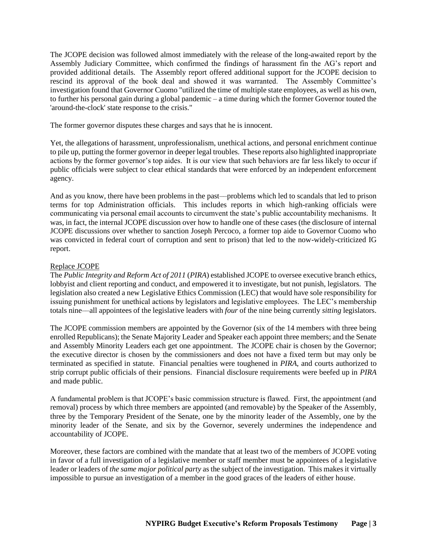The JCOPE decision was followed almost immediately with the release of the long-awaited report by the Assembly Judiciary Committee, which confirmed the findings of harassment fin the AG's report and provided additional details. The Assembly report offered additional support for the JCOPE decision to rescind its approval of the book deal and showed it was warranted. The Assembly Committee's investigation found that Governor Cuomo "utilized the time of multiple state employees, as well as his own, to further his personal gain during a global pandemic – a time during which the former Governor touted the 'around-the-clock' state response to the crisis."

The former governor disputes these charges and says that he is innocent.

Yet, the allegations of harassment, unprofessionalism, unethical actions, and personal enrichment continue to pile up, putting the former governor in deeper legal troubles. These reports also highlighted inappropriate actions by the former governor's top aides. It is our view that such behaviors are far less likely to occur if public officials were subject to clear ethical standards that were enforced by an independent enforcement agency.

And as you know, there have been problems in the past––problems which led to scandals that led to prison terms for top Administration officials. This includes reports in which high-ranking officials were communicating via personal email accounts to circumvent the state's public accountability mechanisms. It was, in fact, the internal JCOPE discussion over how to handle one of these cases (the disclosure of internal JCOPE discussions over whether to sanction Joseph Percoco, a former top aide to Governor Cuomo who was convicted in federal court of corruption and sent to prison) that led to the now-widely-criticized IG report.

#### Replace JCOPE

The *Public Integrity and Reform Act of 2011* (*PIRA*) established JCOPE to oversee executive branch ethics, lobbyist and client reporting and conduct, and empowered it to investigate, but not punish, legislators. The legislation also created a new Legislative Ethics Commission (LEC) that would have sole responsibility for issuing punishment for unethical actions by legislators and legislative employees. The LEC's membership totals nine––all appointees of the legislative leaders with *four* of the nine being currently *sitting* legislators.

The JCOPE commission members are appointed by the Governor (six of the 14 members with three being enrolled Republicans); the Senate Majority Leader and Speaker each appoint three members; and the Senate and Assembly Minority Leaders each get one appointment. The JCOPE chair is chosen by the Governor; the executive director is chosen by the commissioners and does not have a fixed term but may only be terminated as specified in statute. Financial penalties were toughened in *PIRA*, and courts authorized to strip corrupt public officials of their pensions. Financial disclosure requirements were beefed up in *PIRA* and made public.

A fundamental problem is that JCOPE's basic commission structure is flawed. First, the appointment (and removal) process by which three members are appointed (and removable) by the Speaker of the Assembly, three by the Temporary President of the Senate, one by the minority leader of the Assembly, one by the minority leader of the Senate, and six by the Governor, severely undermines the independence and accountability of JCOPE.

Moreover, these factors are combined with the mandate that at least two of the members of JCOPE voting in favor of a full investigation of a legislative member or staff member must be appointees of a legislative leader or leaders of *the same major political party* as the subject of the investigation. This makes it virtually impossible to pursue an investigation of a member in the good graces of the leaders of either house.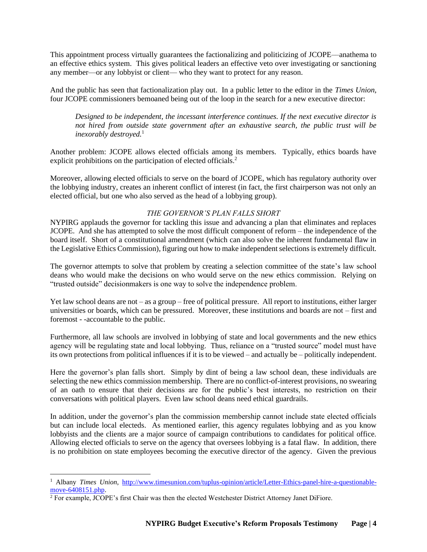This appointment process virtually guarantees the factionalizing and politicizing of JCOPE––anathema to an effective ethics system. This gives political leaders an effective veto over investigating or sanctioning any member—or any lobbyist or client— who they want to protect for any reason.

And the public has seen that factionalization play out. In a public letter to the editor in the *Times Union*, four JCOPE commissioners bemoaned being out of the loop in the search for a new executive director:

*Designed to be independent, the incessant interference continues. If the next executive director is not hired from outside state government after an exhaustive search, the public trust will be inexorably destroyed.*<sup>1</sup>

Another problem: JCOPE allows elected officials among its members. Typically, ethics boards have explicit prohibitions on the participation of elected officials.<sup>2</sup>

Moreover, allowing elected officials to serve on the board of JCOPE, which has regulatory authority over the lobbying industry, creates an inherent conflict of interest (in fact, the first chairperson was not only an elected official, but one who also served as the head of a lobbying group).

#### *THE GOVERNOR'S PLAN FALLS SHORT*

NYPIRG applauds the governor for tackling this issue and advancing a plan that eliminates and replaces JCOPE. And she has attempted to solve the most difficult component of reform – the independence of the board itself. Short of a constitutional amendment (which can also solve the inherent fundamental flaw in the Legislative Ethics Commission), figuring out how to make independent selections is extremely difficult.

The governor attempts to solve that problem by creating a selection committee of the state's law school deans who would make the decisions on who would serve on the new ethics commission. Relying on "trusted outside" decisionmakers is one way to solve the independence problem.

Yet law school deans are not – as a group – free of political pressure. All report to institutions, either larger universities or boards, which can be pressured. Moreover, these institutions and boards are not – first and foremost - -accountable to the public.

Furthermore, all law schools are involved in lobbying of state and local governments and the new ethics agency will be regulating state and local lobbying. Thus, reliance on a "trusted source" model must have its own protections from political influences if it is to be viewed – and actually be – politically independent.

Here the governor's plan falls short. Simply by dint of being a law school dean, these individuals are selecting the new ethics commission membership. There are no conflict-of-interest provisions, no swearing of an oath to ensure that their decisions are for the public's best interests, no restriction on their conversations with political players. Even law school deans need ethical guardrails.

In addition, under the governor's plan the commission membership cannot include state elected officials but can include local electeds. As mentioned earlier, this agency regulates lobbying and as you know lobbyists and the clients are a major source of campaign contributions to candidates for political office. Allowing elected officials to serve on the agency that oversees lobbying is a fatal flaw. In addition, there is no prohibition on state employees becoming the executive director of the agency. Given the previous

<sup>&</sup>lt;sup>1</sup> Albany *Times Union*, [http://www.timesunion.com/tuplus-opinion/article/Letter-Ethics-panel-hire-a-questionable](http://www.timesunion.com/tuplus-opinion/article/Letter-Ethics-panel-hire-a-questionable-move-6408151.php)[move-6408151.php.](http://www.timesunion.com/tuplus-opinion/article/Letter-Ethics-panel-hire-a-questionable-move-6408151.php)

<sup>&</sup>lt;sup>2</sup> For example, JCOPE's first Chair was then the elected Westchester District Attorney Janet DiFiore.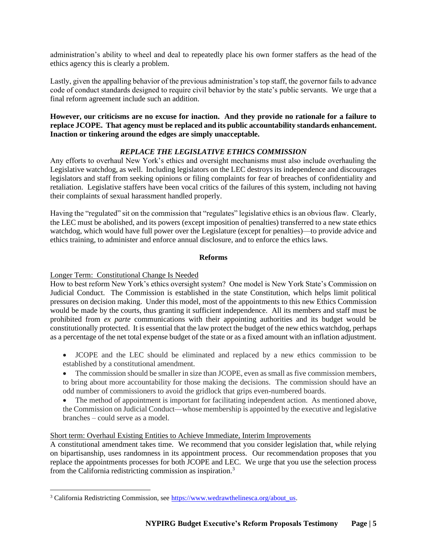administration's ability to wheel and deal to repeatedly place his own former staffers as the head of the ethics agency this is clearly a problem.

Lastly, given the appalling behavior of the previous administration's top staff, the governor fails to advance code of conduct standards designed to require civil behavior by the state's public servants. We urge that a final reform agreement include such an addition.

**However, our criticisms are no excuse for inaction. And they provide no rationale for a failure to replace JCOPE. That agency must be replaced and its public accountability standards enhancement. Inaction or tinkering around the edges are simply unacceptable.** 

# *REPLACE THE LEGISLATIVE ETHICS COMMISSION*

Any efforts to overhaul New York's ethics and oversight mechanisms must also include overhauling the Legislative watchdog, as well. Including legislators on the LEC destroys its independence and discourages legislators and staff from seeking opinions or filing complaints for fear of breaches of confidentiality and retaliation. Legislative staffers have been vocal critics of the failures of this system, including not having their complaints of sexual harassment handled properly.

Having the "regulated" sit on the commission that "regulates" legislative ethics is an obvious flaw. Clearly, the LEC must be abolished, and its powers (except imposition of penalties) transferred to a new state ethics watchdog, which would have full power over the Legislature (except for penalties)—to provide advice and ethics training, to administer and enforce annual disclosure, and to enforce the ethics laws.

#### **Reforms**

#### Longer Term: Constitutional Change Is Needed

How to best reform New York's ethics oversight system? One model is New York State's Commission on Judicial Conduct. The Commission is established in the state Constitution, which helps limit political pressures on decision making. Under this model, most of the appointments to this new Ethics Commission would be made by the courts, thus granting it sufficient independence. All its members and staff must be prohibited from *ex parte* communications with their appointing authorities and its budget would be constitutionally protected. It is essential that the law protect the budget of the new ethics watchdog, perhaps as a percentage of the net total expense budget of the state or as a fixed amount with an inflation adjustment.

- JCOPE and the LEC should be eliminated and replaced by a new ethics commission to be established by a constitutional amendment.
- The commission should be smaller in size than JCOPE, even as small as five commission members, to bring about more accountability for those making the decisions. The commission should have an odd number of commissioners to avoid the gridlock that grips even-numbered boards.
- The method of appointment is important for facilitating independent action. As mentioned above, the Commission on Judicial Conduct—whose membership is appointed by the executive and legislative branches – could serve as a model.

#### Short term: Overhaul Existing Entities to Achieve Immediate, Interim Improvements

A constitutional amendment takes time. We recommend that you consider legislation that, while relying on bipartisanship, uses randomness in its appointment process. Our recommendation proposes that you replace the appointments processes for both JCOPE and LEC. We urge that you use the selection process from the California redistricting commission as inspiration.<sup>3</sup>

<sup>&</sup>lt;sup>3</sup> California Redistricting Commission, see [https://www.wedrawthelinesca.org/about\\_us.](https://www.wedrawthelinesca.org/about_us)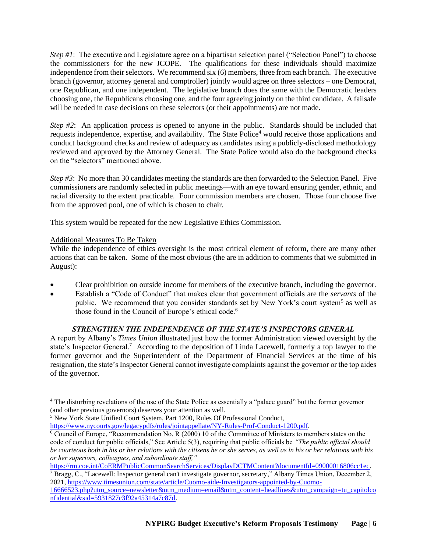*Step #1*: The executive and Legislature agree on a bipartisan selection panel ("Selection Panel") to choose the commissioners for the new JCOPE. The qualifications for these individuals should maximize independence from their selectors. We recommend six (6) members, three from each branch. The executive branch (governor, attorney general and comptroller) jointly would agree on three selectors – one Democrat, one Republican, and one independent. The legislative branch does the same with the Democratic leaders choosing one, the Republicans choosing one, and the four agreeing jointly on the third candidate. A failsafe will be needed in case decisions on these selectors (or their appointments) are not made.

*Step #2*: An application process is opened to anyone in the public. Standards should be included that requests independence, expertise, and availability. The State Police<sup>4</sup> would receive those applications and conduct background checks and review of adequacy as candidates using a publicly-disclosed methodology reviewed and approved by the Attorney General. The State Police would also do the background checks on the "selectors" mentioned above.

*Step #3*: No more than 30 candidates meeting the standards are then forwarded to the Selection Panel. Five commissioners are randomly selected in public meetings—with an eye toward ensuring gender, ethnic, and racial diversity to the extent practicable. Four commission members are chosen. Those four choose five from the approved pool, one of which is chosen to chair.

This system would be repeated for the new Legislative Ethics Commission.

## Additional Measures To Be Taken

While the independence of ethics oversight is the most critical element of reform, there are many other actions that can be taken. Some of the most obvious (the are in addition to comments that we submitted in August):

- Clear prohibition on outside income for members of the executive branch, including the governor.
- Establish a "Code of Conduct" that makes clear that government officials are the *servants* of the public. We recommend that you consider standards set by New York's court system<sup>5</sup> as well as those found in the Council of Europe's ethical code.<sup>6</sup>

# *STRENGTHEN THE INDEPENDENCE OF THE STATE'S INSPECTORS GENERAL*

A report by Albany's *Times Union* illustrated just how the former Administration viewed oversight by the state's Inspector General.<sup>7</sup> According to the deposition of Linda Lacewell, formerly a top lawyer to the former governor and the Superintendent of the Department of Financial Services at the time of his resignation, the state's Inspector General cannot investigate complaints against the governor or the top aides of the governor.

<sup>4</sup> The disturbing revelations of the use of the State Police as essentially a "palace guard" but the former governor (and other previous governors) deserves your attention as well.

<sup>5</sup> New York State Unified Court System, Part 1200, Rules Of Professional Conduct,

[https://www.nycourts.gov/legacypdfs/rules/jointappellate/NY-Rules-Prof-Conduct-1200.pdf.](https://www.nycourts.gov/legacypdfs/rules/jointappellate/NY-Rules-Prof-Conduct-1200.pdf)

 $\overline{6}$  Council of Europe, "Recommendation No. R (2000) 10 of the Committee of Ministers to members states on the code of conduct for public officials," See Article 5(3), requiring that public officials be *"The public official should be courteous both in his or her relations with the citizens he or she serves, as well as in his or her relations with his or her superiors, colleagues, and subordinate staff,"*

[https://rm.coe.int/CoERMPublicCommonSearchServices/DisplayDCTMContent?documentId=09000016806cc1ec.](https://rm.coe.int/CoERMPublicCommonSearchServices/DisplayDCTMContent?documentId=09000016806cc1ec) <sup>7</sup> Bragg, C., "Lacewell: Inspector general can't investigate governor, secretary," Albany Times Union, December 2,

<sup>2021,</sup> [https://www.timesunion.com/state/article/Cuomo-aide-Investigators-appointed-by-Cuomo-](https://www.timesunion.com/state/article/Cuomo-aide-Investigators-appointed-by-Cuomo-16666523.php?utm_source=newsletter&utm_medium=email&utm_content=headlines&utm_campaign=tu_capitolconfidential&sid=5931827c3f92a45314a7c87d)[16666523.php?utm\\_source=newsletter&utm\\_medium=email&utm\\_content=headlines&utm\\_campaign=tu\\_capitolco](https://www.timesunion.com/state/article/Cuomo-aide-Investigators-appointed-by-Cuomo-16666523.php?utm_source=newsletter&utm_medium=email&utm_content=headlines&utm_campaign=tu_capitolconfidential&sid=5931827c3f92a45314a7c87d) [nfidential&sid=5931827c3f92a45314a7c87d.](https://www.timesunion.com/state/article/Cuomo-aide-Investigators-appointed-by-Cuomo-16666523.php?utm_source=newsletter&utm_medium=email&utm_content=headlines&utm_campaign=tu_capitolconfidential&sid=5931827c3f92a45314a7c87d)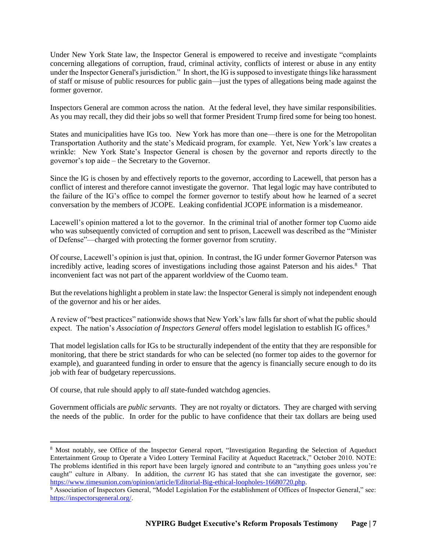Under New York State law, the Inspector General is empowered to receive and investigate "complaints concerning allegations of corruption, fraud, criminal activity, conflicts of interest or abuse in any entity under the Inspector General's jurisdiction." In short, the IG is supposed to investigate things like harassment of staff or misuse of public resources for public gain—just the types of allegations being made against the former governor.

Inspectors General are common across the nation. At the federal level, they have similar responsibilities. As you may recall, they did their jobs so well that former President Trump fired some for being too honest.

States and municipalities have IGs too. New York has more than one—there is one for the Metropolitan Transportation Authority and the state's Medicaid program, for example. Yet, New York's law creates a wrinkle: New York State's Inspector General is chosen by the governor and reports directly to the governor's top aide – the Secretary to the Governor.

Since the IG is chosen by and effectively reports to the governor, according to Lacewell, that person has a conflict of interest and therefore cannot investigate the governor. That legal logic may have contributed to the failure of the IG's office to compel the former governor to testify about how he learned of a secret conversation by the members of JCOPE. Leaking confidential JCOPE information is a misdemeanor.

Lacewell's opinion mattered a lot to the governor. In the criminal trial of another former top Cuomo aide who was subsequently convicted of corruption and sent to prison, Lacewell was described as the "Minister of Defense"—charged with protecting the former governor from scrutiny.

Of course, Lacewell's opinion is just that, opinion. In contrast, the IG under former Governor Paterson was incredibly active, leading scores of investigations including those against Paterson and his aides.<sup>8</sup> That inconvenient fact was not part of the apparent worldview of the Cuomo team.

But the revelations highlight a problem in state law: the Inspector General is simply not independent enough of the governor and his or her aides.

A review of "best practices" nationwide shows that New York's law falls far short of what the public should expect. The nation's *Association of Inspectors General* offers model legislation to establish IG offices.<sup>9</sup>

That model legislation calls for IGs to be structurally independent of the entity that they are responsible for monitoring, that there be strict standards for who can be selected (no former top aides to the governor for example), and guaranteed funding in order to ensure that the agency is financially secure enough to do its job with fear of budgetary repercussions.

Of course, that rule should apply to *all* state-funded watchdog agencies.

Government officials are *public servants*. They are not royalty or dictators. They are charged with serving the needs of the public. In order for the public to have confidence that their tax dollars are being used

<sup>8</sup> Most notably, see Office of the Inspector General report, "Investigation Regarding the Selection of Aqueduct Entertainment Group to Operate a Video Lottery Terminal Facility at Aqueduct Racetrack," October 2010. NOTE: The problems identified in this report have been largely ignored and contribute to an "anything goes unless you're caught" culture in Albany. In addition, the *current* IG has stated that she can investigate the governor, see: [https://www.timesunion.com/opinion/article/Editorial-Big-ethical-loopholes-16680720.php.](https://www.timesunion.com/opinion/article/Editorial-Big-ethical-loopholes-16680720.php)

<sup>9</sup> Association of Inspectors General, "Model Legislation For the establishment of Offices of Inspector General," see: [https://inspectorsgeneral.org/.](https://inspectorsgeneral.org/)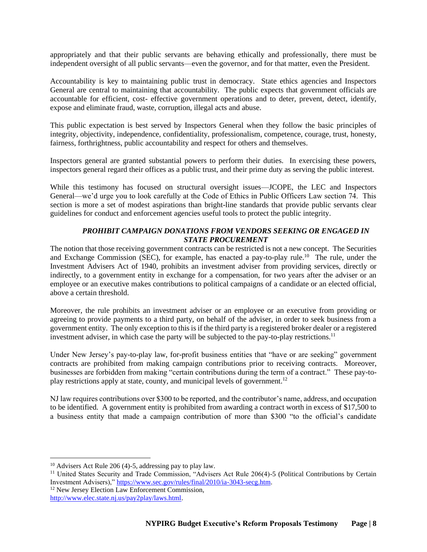appropriately and that their public servants are behaving ethically and professionally, there must be independent oversight of all public servants––even the governor, and for that matter, even the President.

Accountability is key to maintaining public trust in democracy. State ethics agencies and Inspectors General are central to maintaining that accountability. The public expects that government officials are accountable for efficient, cost- effective government operations and to deter, prevent, detect, identify, expose and eliminate fraud, waste, corruption, illegal acts and abuse.

This public expectation is best served by Inspectors General when they follow the basic principles of integrity, objectivity, independence, confidentiality, professionalism, competence, courage, trust, honesty, fairness, forthrightness, public accountability and respect for others and themselves.

Inspectors general are granted substantial powers to perform their duties. In exercising these powers, inspectors general regard their offices as a public trust, and their prime duty as serving the public interest.

While this testimony has focused on structural oversight issues—JCOPE, the LEC and Inspectors General—we'd urge you to look carefully at the Code of Ethics in Public Officers Law section 74. This section is more a set of modest aspirations than bright-line standards that provide public servants clear guidelines for conduct and enforcement agencies useful tools to protect the public integrity.

### *PROHIBIT CAMPAIGN DONATIONS FROM VENDORS SEEKING OR ENGAGED IN STATE PROCUREMENT*

The notion that those receiving government contracts can be restricted is not a new concept. The Securities and Exchange Commission (SEC), for example, has enacted a pay-to-play rule.<sup>10</sup> The rule, under the Investment Advisers Act of 1940, prohibits an investment adviser from providing services, directly or indirectly, to a government entity in exchange for a compensation, for two years after the adviser or an employee or an executive makes contributions to political campaigns of a candidate or an elected official, above a certain threshold.

Moreover, the rule prohibits an investment adviser or an employee or an executive from providing or agreeing to provide payments to a third party, on behalf of the adviser, in order to seek business from a government entity. The only exception to this is if the third party is a registered broker dealer or a registered investment adviser, in which case the party will be subjected to the pay-to-play restrictions.<sup>11</sup>

Under New Jersey's pay-to-play law, for-profit business entities that "have or are seeking" government contracts are prohibited from making campaign contributions prior to receiving contracts. Moreover, businesses are forbidden from making "certain contributions during the term of a contract." These pay-toplay restrictions apply at state, county, and municipal levels of government.<sup>12</sup>

NJ law requires contributions over \$300 to be reported, and the contributor's name, address, and occupation to be identified. A government entity is prohibited from awarding a contract worth in excess of \$17,500 to a business entity that made a campaign contribution of more than \$300 "to the official's candidate

<sup>10</sup> Advisers Act Rule 206 (4)-5, addressing pay to play law.

<sup>&</sup>lt;sup>11</sup> United States Security and Trade Commission, "Advisers Act Rule 206(4)-5 (Political Contributions by Certain Investment Advisers)," [https://www.sec.gov/rules/final/2010/ia-3043-secg.htm.](https://www.sec.gov/rules/final/2010/ia-3043-secg.htm)

<sup>&</sup>lt;sup>12</sup> New Jersey Election Law Enforcement Commission,

[http://www.elec.state.nj.us/pay2play/laws.html.](http://www.elec.state.nj.us/pay2play/laws.html)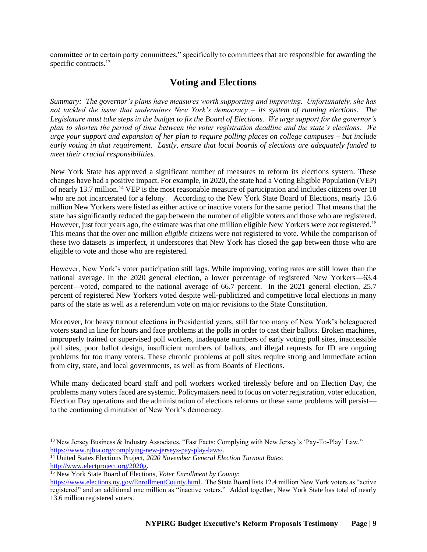committee or to certain party committees," specifically to committees that are responsible for awarding the specific contracts.<sup>13</sup>

# **Voting and Elections**

*Summary: The governor's plans have measures worth supporting and improving. Unfortunately, she has not tackled the issue that undermines New York's democracy – its system of running elections. The Legislature must take steps in the budget to fix the Board of Elections. We urge support for the governor's plan to shorten the period of time between the voter registration deadline and the state's elections. We urge your support and expansion of her plan to require polling places on college campuses – but include early voting in that requirement. Lastly, ensure that local boards of elections are adequately funded to meet their crucial responsibilities.*

New York State has approved a significant number of measures to reform its elections system. These changes have had a positive impact. For example, in 2020, the state had a Voting Eligible Population (VEP) of nearly 13.7 million.<sup>14</sup> VEP is the most reasonable measure of participation and includes citizens over 18 who are not incarcerated for a felony. According to the New York State Board of Elections, nearly 13.6 million New Yorkers were listed as either active or inactive voters for the same period. That means that the state has significantly reduced the gap between the number of eligible voters and those who are registered. However, just four years ago, the estimate was that one million eligible New Yorkers were *not* registered.<sup>15</sup> This means that the over one million *eligible* citizens were not registered to vote. While the comparison of these two datasets is imperfect, it underscores that New York has closed the gap between those who are eligible to vote and those who are registered.

However, New York's voter participation still lags. While improving, voting rates are still lower than the national average. In the 2020 general election, a lower percentage of registered New Yorkers––63.4 percent––voted, compared to the national average of 66.7 percent. In the 2021 general election, 25.7 percent of registered New Yorkers voted despite well-publicized and competitive local elections in many parts of the state as well as a referendum vote on major revisions to the State Constitution.

Moreover, for heavy turnout elections in Presidential years, still far too many of New York's beleaguered voters stand in line for hours and face problems at the polls in order to cast their ballots. Broken machines, improperly trained or supervised poll workers, inadequate numbers of early voting poll sites, inaccessible poll sites, poor ballot design, insufficient numbers of ballots, and illegal requests for ID are ongoing problems for too many voters. These chronic problems at poll sites require strong and immediate action from city, state, and local governments, as well as from Boards of Elections.

While many dedicated board staff and poll workers worked tirelessly before and on Election Day, the problems many voters faced are systemic. Policymakers need to focus on voter registration, voter education, Election Day operations and the administration of elections reforms or these same problems will persist to the continuing diminution of New York's democracy.

<sup>13</sup> New Jersey Business & Industry Associates, "Fast Facts: Complying with New Jersey's 'Pay-To-Play' Law," [https://www.njbia.org/complying-new-jerseys-pay-play-laws/.](https://www.njbia.org/complying-new-jerseys-pay-play-laws/)

<sup>14</sup> United States Elections Project, *2020 November General Election Turnout Rates*: [http://www.electproject.org/2020g.](http://www.electproject.org/2020g) 

<sup>15</sup> New York State Board of Elections*, Voter Enrollment by County*:

[https://www.elections.ny.gov/EnrollmentCounty.html.](https://www.elections.ny.gov/EnrollmentCounty.html) The State Board lists 12.4 million New York voters as "active registered" and an additional one million as "inactive voters." Added together, New York State has total of nearly 13.6 million registered voters.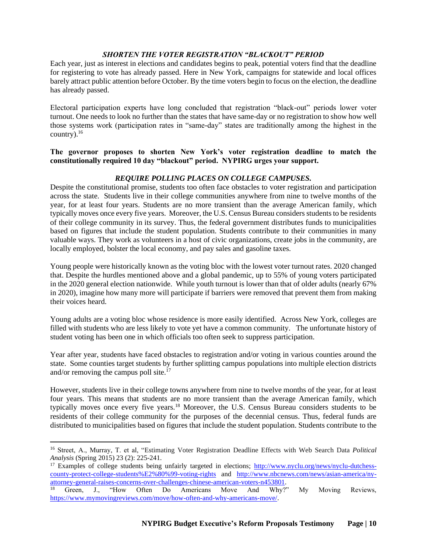## *SHORTEN THE VOTER REGISTRATION "BLACKOUT" PERIOD*

Each year, just as interest in elections and candidates begins to peak, potential voters find that the deadline for registering to vote has already passed. Here in New York, campaigns for statewide and local offices barely attract public attention before October. By the time voters begin to focus on the election, the deadline has already passed.

Electoral participation experts have long concluded that registration "black-out" periods lower voter turnout. One needs to look no further than the states that have same-day or no registration to show how well those systems work (participation rates in "same-day" states are traditionally among the highest in the country). $16$ 

#### **The governor proposes to shorten New York's voter registration deadline to match the constitutionally required 10 day "blackout" period. NYPIRG urges your support.**

# *REQUIRE POLLING PLACES ON COLLEGE CAMPUSES.*

Despite the constitutional promise, students too often face obstacles to voter registration and participation across the state. Students live in their college communities anywhere from nine to twelve months of the year, for at least four years. Students are no more transient than the average American family, which typically moves once every five years. Moreover, the U.S. Census Bureau considers students to be residents of their college community in its survey. Thus, the federal government distributes funds to municipalities based on figures that include the student population. Students contribute to their communities in many valuable ways. They work as volunteers in a host of civic organizations, create jobs in the community, are locally employed, bolster the local economy, and pay sales and gasoline taxes.

Young people were historically known as the voting bloc with the lowest voter turnout rates. 2020 changed that. Despite the hurdles mentioned above and a global pandemic, up to 55% of young voters participated in the 2020 general election nationwide. While youth turnout is lower than that of older adults (nearly 67% in 2020), imagine how many more will participate if barriers were removed that prevent them from making their voices heard.

Young adults are a voting bloc whose residence is more easily identified. Across New York, colleges are filled with students who are less likely to vote yet have a common community. The unfortunate history of student voting has been one in which officials too often seek to suppress participation.

Year after year, students have faced obstacles to registration and/or voting in various counties around the state. Some counties target students by further splitting campus populations into multiple election districts and/or removing the campus poll site. $^{17}$ 

However, students live in their college towns anywhere from nine to twelve months of the year, for at least four years. This means that students are no more transient than the average American family, which typically moves once every five years.<sup>18</sup> Moreover, the U.S. Census Bureau considers students to be residents of their college community for the purposes of the decennial census. Thus, federal funds are distributed to municipalities based on figures that include the student population. Students contribute to the

<sup>16</sup> Street, A., Murray, T. et al, "Estimating Voter Registration Deadline Effects with Web Search Data *Political Analysis* (Spring 2015) 23 (2): 225-241.

<sup>&</sup>lt;sup>17</sup> Examples of college students being unfairly targeted in elections; [http://www.nyclu.org/news/nyclu-dutchess](http://www.nyclu.org/news/nyclu-dutchess-county-protect-college-students%E2%80%99-voting-rights)[county-protect-college-students%E2%80%99-voting-rights](http://www.nyclu.org/news/nyclu-dutchess-county-protect-college-students%E2%80%99-voting-rights) and [http://www.nbcnews.com/news/asian-america/ny](http://www.nbcnews.com/news/asian-america/ny-attorney-general-raises-concerns-over-challenges-chinese-american-voters-n453801)[attorney-general-raises-concerns-over-challenges-chinese-american-voters-n453801.](http://www.nbcnews.com/news/asian-america/ny-attorney-general-raises-concerns-over-challenges-chinese-american-voters-n453801)<br><sup>18</sup> Green I "How Often Do Americans Move And Why"

<sup>&</sup>lt;sup>18</sup> Green, J., "How Often Do Americans Move And Why?" My Moving Reviews, [https://www.mymovingreviews.com/move/how-often-and-why-americans-move/.](https://www.mymovingreviews.com/move/how-often-and-why-americans-move/)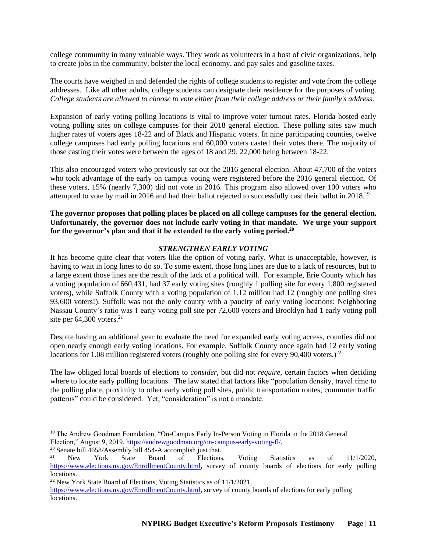college community in many valuable ways. They work as volunteers in a host of civic organizations, help to create jobs in the community, bolster the local economy, and pay sales and gasoline taxes.

The courts have weighed in and defended the rights of college students to register and vote from the college addresses. Like all other adults, college students can designate their residence for the purposes of voting. *College students are allowed to choose to vote either from their college address or their family's address*.

Expansion of early voting polling locations is vital to improve voter turnout rates. Florida hosted early voting polling sites on college campuses for their 2018 general election. These polling sites saw much higher rates of voters ages 18-22 and of Black and Hispanic voters. In nine participating counties, twelve college campuses had early polling locations and 60,000 voters casted their votes there. The majority of those casting their votes were between the ages of 18 and 29, 22,000 being between 18-22.

This also encouraged voters who previously sat out the 2016 general election. About 47,700 of the voters who took advantage of the early on campus voting were registered before the 2016 general election. Of these voters, 15% (nearly 7,300) did not vote in 2016. This program also allowed over 100 voters who attempted to vote by mail in 2016 and had their ballot rejected to successfully cast their ballot in 2018.<sup>19</sup>

**The governor proposes that polling places be placed on all college campuses for the general election. Unfortunately, the governor does not include early voting in that mandate. We urge your support for the governor's plan and that it be extended to the early voting period.<sup>20</sup>**

#### *STRENGTHEN EARLY VOTING*

It has become quite clear that voters like the option of voting early. What is unacceptable, however, is having to wait in long lines to do so. To some extent, those long lines are due to a lack of resources, but to a large extent those lines are the result of the lack of a political will. For example, Erie County which has a voting population of 660,431, had 37 early voting sites (roughly 1 polling site for every 1,800 registered voters), while Suffolk County with a voting population of 1.12 million had 12 (roughly one polling sites 93,600 voters!). Suffolk was not the only county with a paucity of early voting locations: Neighboring Nassau County's ratio was 1 early voting poll site per 72,600 voters and Brooklyn had 1 early voting poll site per  $64,300$  voters.<sup>21</sup>

Despite having an additional year to evaluate the need for expanded early voting access, counties did not open nearly enough early voting locations. For example, Suffolk County once again had 12 early voting locations for 1.08 million registered voters (roughly one polling site for every 90,400 voters.)<sup>22</sup>

The law obliged local boards of elections to *consider*, but did not *require*, certain factors when deciding where to locate early polling locations. The law stated that factors like "population density, travel time to the polling place, proximity to other early voting poll sites, public transportation routes, commuter traffic patterns" could be considered. Yet, "consideration" is not a mandate.

<sup>19</sup> The Andrew Goodman Foundation, "On-Campus Early In-Person Voting in Florida in the 2018 General Election," August 9, 2019, [https://andrewgoodman.org/on-campus-early-voting-fl/.](https://andrewgoodman.org/on-campus-early-voting-fl/)

<sup>&</sup>lt;sup>20</sup> Senate bill 4658/Assembly bill 454-A accomplish just that.

<sup>&</sup>lt;sup>21</sup> New York State Board of Elections, Voting Statistics as of  $11/1/2020$ , [https://www.elections.ny.gov/EnrollmentCounty.html,](https://www.elections.ny.gov/EnrollmentCounty.html) survey of county boards of elections for early polling locations.

<sup>22</sup> New York State Board of Elections, Voting Statistics as of 11/1/2021,

[https://www.elections.ny.gov/EnrollmentCounty.html,](https://www.elections.ny.gov/EnrollmentCounty.html) survey of county boards of elections for early polling locations.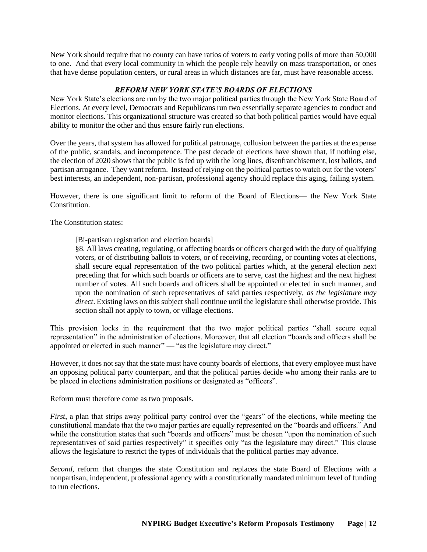New York should require that no county can have ratios of voters to early voting polls of more than 50,000 to one. And that every local community in which the people rely heavily on mass transportation, or ones that have dense population centers, or rural areas in which distances are far, must have reasonable access.

# *REFORM NEW YORK STATE'S BOARDS OF ELECTIONS*

New York State's elections are run by the two major political parties through the New York State Board of Elections. At every level, Democrats and Republicans run two essentially separate agencies to conduct and monitor elections. This organizational structure was created so that both political parties would have equal ability to monitor the other and thus ensure fairly run elections.

Over the years, that system has allowed for political patronage, collusion between the parties at the expense of the public, scandals, and incompetence. The past decade of elections have shown that, if nothing else, the election of 2020 shows that the public is fed up with the long lines, disenfranchisement, lost ballots, and partisan arrogance. They want reform. Instead of relying on the political parties to watch out for the voters' best interests, an independent, non-partisan, professional agency should replace this aging, failing system.

However, there is one significant limit to reform of the Board of Elections–– the New York State Constitution.

The Constitution states:

[Bi-partisan registration and election boards]

§8. All laws creating, regulating, or affecting boards or officers charged with the duty of qualifying voters, or of distributing ballots to voters, or of receiving, recording, or counting votes at elections, shall secure equal representation of the two political parties which, at the general election next preceding that for which such boards or officers are to serve, cast the highest and the next highest number of votes. All such boards and officers shall be appointed or elected in such manner, and upon the nomination of such representatives of said parties respectively, *as the legislature may direct*. Existing laws on this subject shall continue until the legislature shall otherwise provide. This section shall not apply to town, or village elections.

This provision locks in the requirement that the two major political parties "shall secure equal representation" in the administration of elections. Moreover, that all election "boards and officers shall be appointed or elected in such manner" — "as the legislature may direct."

However, it does not say that the state must have county boards of elections, that every employee must have an opposing political party counterpart, and that the political parties decide who among their ranks are to be placed in elections administration positions or designated as "officers".

Reform must therefore come as two proposals.

*First*, a plan that strips away political party control over the "gears" of the elections, while meeting the constitutional mandate that the two major parties are equally represented on the "boards and officers." And while the constitution states that such "boards and officers" must be chosen "upon the nomination of such representatives of said parties respectively" it specifies only "as the legislature may direct." This clause allows the legislature to restrict the types of individuals that the political parties may advance.

*Second*, reform that changes the state Constitution and replaces the state Board of Elections with a nonpartisan, independent, professional agency with a constitutionally mandated minimum level of funding to run elections.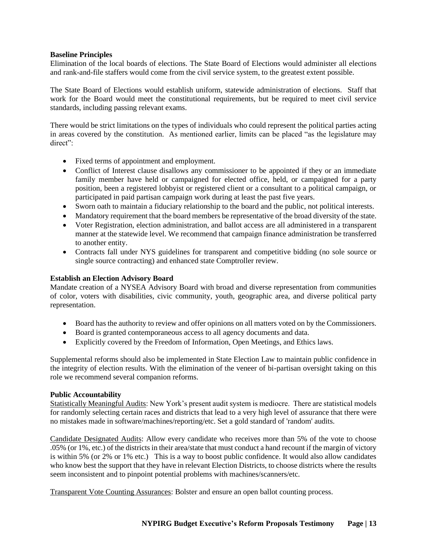#### **Baseline Principles**

Elimination of the local boards of elections. The State Board of Elections would administer all elections and rank-and-file staffers would come from the civil service system, to the greatest extent possible.

The State Board of Elections would establish uniform, statewide administration of elections. Staff that work for the Board would meet the constitutional requirements, but be required to meet civil service standards, including passing relevant exams.

There would be strict limitations on the types of individuals who could represent the political parties acting in areas covered by the constitution. As mentioned earlier, limits can be placed "as the legislature may direct":

- Fixed terms of appointment and employment.
- Conflict of Interest clause disallows any commissioner to be appointed if they or an immediate family member have held or campaigned for elected office, held, or campaigned for a party position, been a registered lobbyist or registered client or a consultant to a political campaign, or participated in paid partisan campaign work during at least the past five years.
- Sworn oath to maintain a fiduciary relationship to the board and the public, not political interests.
- Mandatory requirement that the board members be representative of the broad diversity of the state.
- Voter Registration, election administration, and ballot access are all administered in a transparent manner at the statewide level. We recommend that campaign finance administration be transferred to another entity.
- Contracts fall under NYS guidelines for transparent and competitive bidding (no sole source or single source contracting) and enhanced state Comptroller review.

#### **Establish an Election Advisory Board**

Mandate creation of a NYSEA Advisory Board with broad and diverse representation from communities of color, voters with disabilities, civic community, youth, geographic area, and diverse political party representation.

- Board has the authority to review and offer opinions on all matters voted on by the Commissioners.
- Board is granted contemporaneous access to all agency documents and data.
- Explicitly covered by the Freedom of Information, Open Meetings, and Ethics laws.

Supplemental reforms should also be implemented in State Election Law to maintain public confidence in the integrity of election results. With the elimination of the veneer of bi-partisan oversight taking on this role we recommend several companion reforms.

#### **Public Accountability**

Statistically Meaningful Audits: New York's present audit system is mediocre. There are statistical models for randomly selecting certain races and districts that lead to a very high level of assurance that there were no mistakes made in software/machines/reporting/etc. Set a gold standard of 'random' audits.

Candidate Designated Audits: Allow every candidate who receives more than 5% of the vote to choose .05% (or 1%, etc.) of the districts in their area/state that must conduct a hand recount if the margin of victory is within 5% (or 2% or 1% etc.) This is a way to boost public confidence. It would also allow candidates who know best the support that they have in relevant Election Districts, to choose districts where the results seem inconsistent and to pinpoint potential problems with machines/scanners/etc.

Transparent Vote Counting Assurances: Bolster and ensure an open ballot counting process.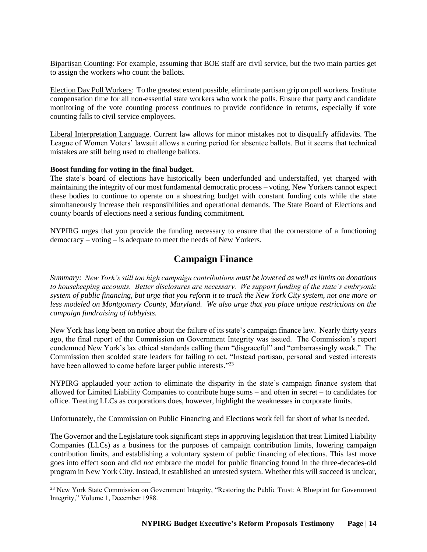Bipartisan Counting: For example, assuming that BOE staff are civil service, but the two main parties get to assign the workers who count the ballots.

Election Day Poll Workers: To the greatest extent possible, eliminate partisan grip on poll workers. Institute compensation time for all non-essential state workers who work the polls. Ensure that party and candidate monitoring of the vote counting process continues to provide confidence in returns, especially if vote counting falls to civil service employees.

Liberal Interpretation Language. Current law allows for minor mistakes not to disqualify affidavits. The League of Women Voters' lawsuit allows a curing period for absentee ballots. But it seems that technical mistakes are still being used to challenge ballots.

#### **Boost funding for voting in the final budget.**

The state's board of elections have historically been underfunded and understaffed, yet charged with maintaining the integrity of our most fundamental democratic process – voting. New Yorkers cannot expect these bodies to continue to operate on a shoestring budget with constant funding cuts while the state simultaneously increase their responsibilities and operational demands. The State Board of Elections and county boards of elections need a serious funding commitment.

NYPIRG urges that you provide the funding necessary to ensure that the cornerstone of a functioning democracy – voting – is adequate to meet the needs of New Yorkers.

# **Campaign Finance**

*Summary: New York's still too high campaign contributions must be lowered as well as limits on donations to housekeeping accounts. Better disclosures are necessary. We support funding of the state's embryonic system of public financing, but urge that you reform it to track the New York City system, not one more or less modeled on Montgomery County, Maryland. We also urge that you place unique restrictions on the campaign fundraising of lobbyists.*

New York has long been on notice about the failure of its state's campaign finance law. Nearly thirty years ago, the final report of the Commission on Government Integrity was issued. The Commission's report condemned New York's lax ethical standards calling them "disgraceful" and "embarrassingly weak." The Commission then scolded state leaders for failing to act, "Instead partisan, personal and vested interests have been allowed to come before larger public interests."<sup>23</sup>

NYPIRG applauded your action to eliminate the disparity in the state's campaign finance system that allowed for Limited Liability Companies to contribute huge sums – and often in secret – to candidates for office. Treating LLCs as corporations does, however, highlight the weaknesses in corporate limits.

Unfortunately, the Commission on Public Financing and Elections work fell far short of what is needed.

The Governor and the Legislature took significant steps in approving legislation that treat Limited Liability Companies (LLCs) as a business for the purposes of campaign contribution limits, lowering campaign contribution limits, and establishing a voluntary system of public financing of elections. This last move goes into effect soon and did *not* embrace the model for public financing found in the three-decades-old program in New York City. Instead, it established an untested system. Whether this will succeed is unclear,

<sup>&</sup>lt;sup>23</sup> New York State Commission on Government Integrity, "Restoring the Public Trust: A Blueprint for Government Integrity," Volume 1, December 1988.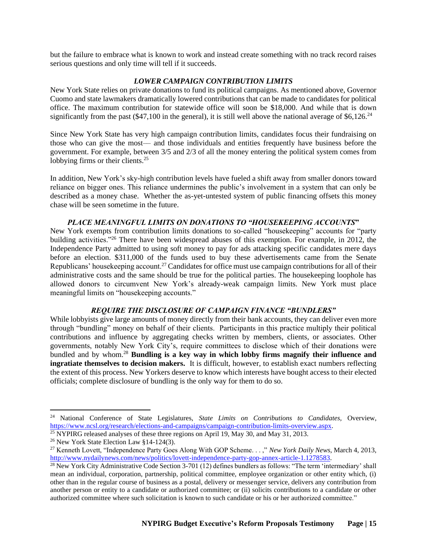but the failure to embrace what is known to work and instead create something with no track record raises serious questions and only time will tell if it succeeds.

#### *LOWER CAMPAIGN CONTRIBUTION LIMITS*

New York State relies on private donations to fund its political campaigns. As mentioned above, Governor Cuomo and state lawmakers dramatically lowered contributions that can be made to candidates for political office. The maximum contribution for statewide office will soon be \$18,000. And while that is down significantly from the past (\$47,100 in the general), it is still well above the national average of \$6,126.<sup>24</sup>

Since New York State has very high campaign contribution limits, candidates focus their fundraising on those who can give the most–– and those individuals and entities frequently have business before the government. For example, between 3/5 and 2/3 of all the money entering the political system comes from lobbying firms or their clients.<sup>25</sup>

In addition, New York's sky-high contribution levels have fueled a shift away from smaller donors toward reliance on bigger ones. This reliance undermines the public's involvement in a system that can only be described as a money chase. Whether the as-yet-untested system of public financing offsets this money chase will be seen sometime in the future.

## *PLACE MEANINGFUL LIMITS ON DONATIONS TO "HOUSEKEEPING ACCOUNTS***"**

New York exempts from contribution limits donations to so-called "housekeeping" accounts for "party building activities."<sup>26</sup> There have been widespread abuses of this exemption. For example, in 2012, the Independence Party admitted to using soft money to pay for ads attacking specific candidates mere days before an election. \$311,000 of the funds used to buy these advertisements came from the Senate Republicans' housekeeping account.<sup>27</sup> Candidates for office must use campaign contributions for all of their administrative costs and the same should be true for the political parties. The housekeeping loophole has allowed donors to circumvent New York's already-weak campaign limits. New York must place meaningful limits on "housekeeping accounts."

### *REQUIRE THE DISCLOSURE OF CAMPAIGN FINANCE "BUNDLERS"*

While lobbyists give large amounts of money directly from their bank accounts, they can deliver even more through "bundling" money on behalf of their clients. Participants in this practice multiply their political contributions and influence by aggregating checks written by members, clients, or associates. Other governments, notably New York City's, require committees to disclose which of their donations were bundled and by whom.<sup>28</sup> **Bundling is a key way in which lobby firms magnify their influence and ingratiate themselves to decision makers.** It is difficult, however, to establish exact numbers reflecting the extent of this process. New Yorkers deserve to know which interests have bought access to their elected officials; complete disclosure of bundling is the only way for them to do so.

<sup>24</sup> National Conference of State Legislatures, *State Limits on Contributions to Candidates,* Overview, [https://www.ncsl.org/research/elections-and-campaigns/campaign-contribution-limits-overview.aspx.](https://www.ncsl.org/research/elections-and-campaigns/campaign-contribution-limits-overview.aspx)

 $25$  NYPIRG released analyses of these three regions on April 19, May 30, and May 31, 2013.

<sup>26</sup> New York State Election Law §14-124(3).

<sup>27</sup> Kenneth Lovett, "Independence Party Goes Along With GOP Scheme. . . ," *New York Daily News*, March 4, 2013, [http://www.nydailynews.com/news/politics/lovett-independence-party-gop-annex-article-1.1278583.](http://www.nydailynews.com/news/politics/lovett-independence-party-gop-annex-article-1.1278583)

<sup>&</sup>lt;sup>28</sup> New York City Administrative Code Section 3-701 (12) defines bundlers as follows: "The term 'intermediary' shall mean an individual, corporation, partnership, political committee, employee organization or other entity which, (i) other than in the regular course of business as a postal, delivery or messenger service, delivers any contribution from another person or entity to a candidate or authorized committee; or (ii) solicits contributions to a candidate or other authorized committee where such solicitation is known to such candidate or his or her authorized committee."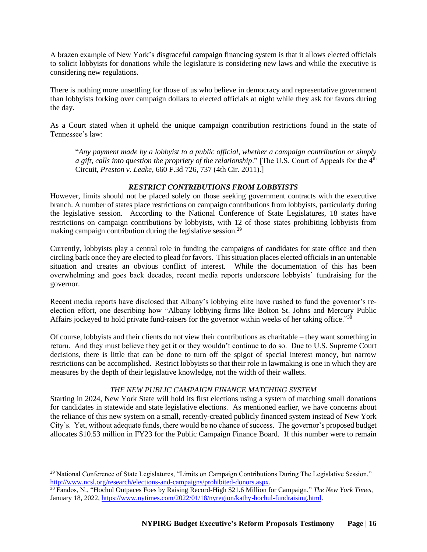A brazen example of New York's disgraceful campaign financing system is that it allows elected officials to solicit lobbyists for donations while the legislature is considering new laws and while the executive is considering new regulations.

There is nothing more unsettling for those of us who believe in democracy and representative government than lobbyists forking over campaign dollars to elected officials at night while they ask for favors during the day.

As a Court stated when it upheld the unique campaign contribution restrictions found in the state of Tennessee's law:

"*Any payment made by a lobbyist to a public official, whether a campaign contribution or simply a gift, calls into question the propriety of the relationship*." [The U.S. Court of Appeals for the 4<sup>th</sup> Circuit, *Preston v. Leake*, 660 F.3d 726, 737 (4th Cir. 2011).]

## *RESTRICT CONTRIBUTIONS FROM LOBBYISTS*

However, limits should not be placed solely on those seeking government contracts with the executive branch. A number of states place restrictions on campaign contributions from lobbyists, particularly during the legislative session. According to the National Conference of State Legislatures, 18 states have restrictions on campaign contributions by lobbyists, with 12 of those states prohibiting lobbyists from making campaign contribution during the legislative session.<sup>29</sup>

Currently, lobbyists play a central role in funding the campaigns of candidates for state office and then circling back once they are elected to plead for favors. This situation places elected officials in an untenable situation and creates an obvious conflict of interest. While the documentation of this has been overwhelming and goes back decades, recent media reports underscore lobbyists' fundraising for the governor.

Recent media reports have disclosed that Albany's lobbying elite have rushed to fund the governor's reelection effort, one describing how "Albany lobbying firms like Bolton St. Johns and Mercury Public Affairs jockeyed to hold private fund-raisers for the governor within weeks of her taking office."<sup>30</sup>

Of course, lobbyists and their clients do not view their contributions as charitable – they want something in return. And they must believe they get it or they wouldn't continue to do so. Due to U.S. Supreme Court decisions, there is little that can be done to turn off the spigot of special interest money, but narrow restrictions can be accomplished. Restrict lobbyists so that their role in lawmaking is one in which they are measures by the depth of their legislative knowledge, not the width of their wallets.

# *THE NEW PUBLIC CAMPAIGN FINANCE MATCHING SYSTEM*

Starting in 2024, New York State will hold its first elections using a system of matching small donations for candidates in statewide and state legislative elections. As mentioned earlier, we have concerns about the reliance of this new system on a small, recently-created publicly financed system instead of New York City's. Yet, without adequate funds, there would be no chance of success. The governor's proposed budget allocates \$10.53 million in FY23 for the Public Campaign Finance Board. If this number were to remain

<sup>&</sup>lt;sup>29</sup> National Conference of State Legislatures, "Limits on Campaign Contributions During The Legislative Session," [http://www.ncsl.org/research/elections-and-campaigns/prohibited-donors.aspx.](http://www.ncsl.org/research/elections-and-campaigns/prohibited-donors.aspx)

<sup>30</sup> Fandos, N., "Hochul Outpaces Foes by Raising Record-High \$21.6 Million for Campaign," *The New York Times,* January 18, 2022[, https://www.nytimes.com/2022/01/18/nyregion/kathy-hochul-fundraising.html.](https://www.nytimes.com/2022/01/18/nyregion/kathy-hochul-fundraising.html)